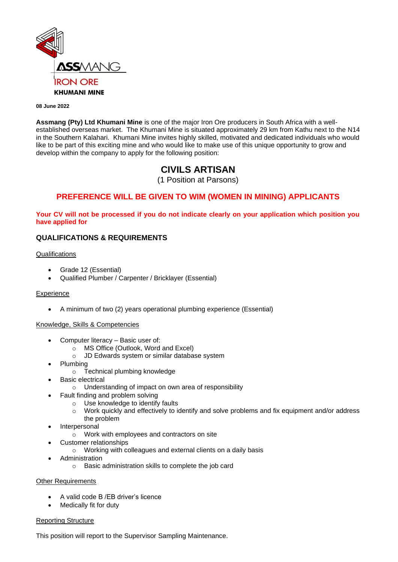

#### **08 June 2022**

**Assmang (Pty) Ltd Khumani Mine** is one of the major Iron Ore producers in South Africa with a wellestablished overseas market. The Khumani Mine is situated approximately 29 km from Kathu next to the N14 in the Southern Kalahari. Khumani Mine invites highly skilled, motivated and dedicated individuals who would like to be part of this exciting mine and who would like to make use of this unique opportunity to grow and develop within the company to apply for the following position:

# **CIVILS ARTISAN**

(1 Position at Parsons)

## **PREFERENCE WILL BE GIVEN TO WIM (WOMEN IN MINING) APPLICANTS**

**Your CV will not be processed if you do not indicate clearly on your application which position you have applied for**

## **QUALIFICATIONS & REQUIREMENTS**

## **Qualifications**

- Grade 12 (Essential)
- Qualified Plumber / Carpenter / Bricklayer (Essential)

## **Experience**

• A minimum of two (2) years operational plumbing experience (Essential)

## Knowledge, Skills & Competencies

- Computer literacy Basic user of:
	- o MS Office (Outlook, Word and Excel)
	- o JD Edwards system or similar database system
- Plumbing
	- o Technical plumbing knowledge
- **Basic electrical** 
	- o Understanding of impact on own area of responsibility
	- Fault finding and problem solving
		- o Use knowledge to identify faults
		- o Work quickly and effectively to identify and solve problems and fix equipment and/or address the problem
- **Interpersonal** 
	- o Work with employees and contractors on site
	- Customer relationships
		- o Working with colleagues and external clients on a daily basis
- **Administration** 
	- o Basic administration skills to complete the job card

## Other Requirements

- A valid code B /EB driver's licence
- Medically fit for duty

## Reporting Structure

This position will report to the Supervisor Sampling Maintenance.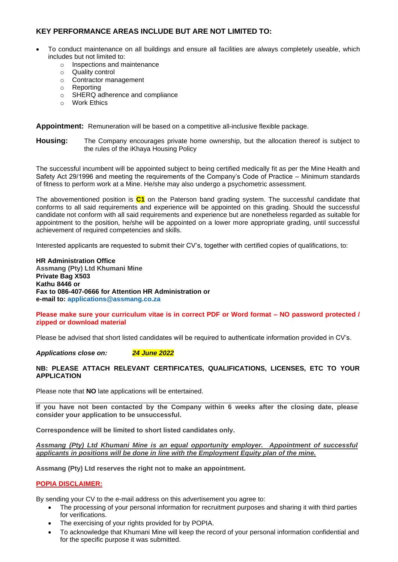## **KEY PERFORMANCE AREAS INCLUDE BUT ARE NOT LIMITED TO:**

- To conduct maintenance on all buildings and ensure all facilities are always completely useable, which includes but not limited to:
	- o Inspections and maintenance
	- o Quality control
	- o Contractor management
	- o Reporting
	- o SHERQ adherence and compliance
	- o Work Ethics

**Appointment:** Remuneration will be based on a competitive all-inclusive flexible package.

**Housing:** The Company encourages private home ownership, but the allocation thereof is subject to the rules of the iKhaya Housing Policy

The successful incumbent will be appointed subject to being certified medically fit as per the Mine Health and Safety Act 29/1996 and meeting the requirements of the Company's Code of Practice – Minimum standards of fitness to perform work at a Mine. He/she may also undergo a psychometric assessment.

The abovementioned position is **C1** on the Paterson band grading system. The successful candidate that conforms to all said requirements and experience will be appointed on this grading. Should the successful candidate not conform with all said requirements and experience but are nonetheless regarded as suitable for appointment to the position, he/she will be appointed on a lower more appropriate grading, until successful achievement of required competencies and skills.

Interested applicants are requested to submit their CV's, together with certified copies of qualifications, to:

**HR Administration Office Assmang (Pty) Ltd Khumani Mine Private Bag X503 Kathu 8446 or Fax to 086-407-0666 for Attention HR Administration or e-mail to: [applications@assmang.co.za](mailto:applications@assmang.co.za)** 

**Please make sure your curriculum vitae is in correct PDF or Word format – NO password protected / zipped or download material**

Please be advised that short listed candidates will be required to authenticate information provided in CV's.

*Applications close on: 24 June 2022*

## **NB: PLEASE ATTACH RELEVANT CERTIFICATES, QUALIFICATIONS, LICENSES, ETC TO YOUR APPLICATION**

Please note that **NO** late applications will be entertained.

**If you have not been contacted by the Company within 6 weeks after the closing date, please consider your application to be unsuccessful.**

**Correspondence will be limited to short listed candidates only.**

*Assmang (Pty) Ltd Khumani Mine is an equal opportunity employer. Appointment of successful applicants in positions will be done in line with the Employment Equity plan of the mine.* 

**Assmang (Pty) Ltd reserves the right not to make an appointment.**

## **POPIA DISCLAIMER:**

By sending your CV to the e-mail address on this advertisement you agree to:

- The processing of your personal information for recruitment purposes and sharing it with third parties for verifications.
- The exercising of your rights provided for by POPIA.
- To acknowledge that Khumani Mine will keep the record of your personal information confidential and for the specific purpose it was submitted.